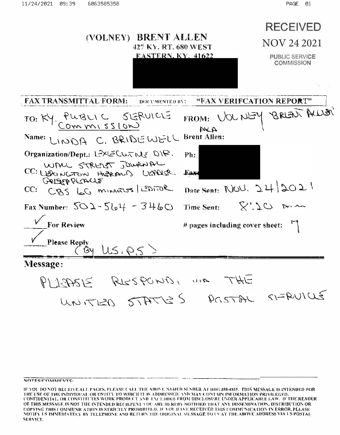

POSTAL SIFRUICLE UNITER STATES

#### NOTES/COMMENTS-

IF YOU DO NOT RECEIVE ALL PAGES, PLEASE CALL THE ABOVE NAMED SENDER AT (606) 358-4815. THIS MESSAGE IS INTENDED FOR THE USE OF THE INDIVIDEAL OR ENTITY TO WHICH IT IS ADDRESSED. AND MAY CONTAIN INFORMATION PRIVILEGED, CONFIDENTIAL, OR CONSTITUTES WORK PRODUCT AND EXCLUDED FROM DISCLOSURE UNDER APPLICABLE LAW. IF THE READER OF THIS MESSAGE IS NOT THE ENTENDED RECIEPENT YOU ARE HEREBY NOTIFIED THAT ANY DISSEMINATION, DISTRIBUTION OR COPYING THIS COMMUNICATION IS STRICTLY PROHIBITED. IF YOU HAVE RECEIVED THIS COMMUNICATION IN ERROR, PLEASE NOTIFY US IMMEDIATELY BY TELEPHONE AND RETURN THE ORIGINAL MESSAGE TO US AT THE ABOVE ADDRESS VIA US POSTAL **SERVICE.**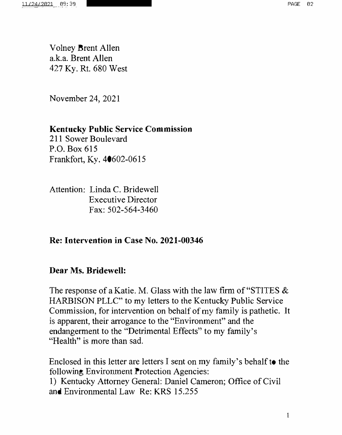Volney Brent Allen a.k.a. Brent Allen 427 Ky. Rt. 680 West

November 24, 2021

# **Kentucky Public Service Commission**

211 Sower Boulevard P.O. Box 615 Frankfort, Ky. 40602-0615

Attention: Linda C. Bridewell Executive Director Fax: 502-564-3460

**Re: Intervention in Case No. 2021-00346** 

## **Dear Ms. Bridewell:**

The response of a Katie. M. Glass with the law firm of "STITES & .HARBISON PLLC'' to my letters to the Kentucky Public Service Commission, for intervention on behalf of my family is pathetic. It is apparent, their arrogance to the "Environment" and the endangerment to the "Detrimental Effects" to my family's "Health" is more than sad.

Enclosed in this letter are letters I sent on my family's behalf to the following Environment Protection Agencies: 1) Kentucky Attorney General: Daniel Cameron; Office of Civil and Environmental Law Re: KRS 15.255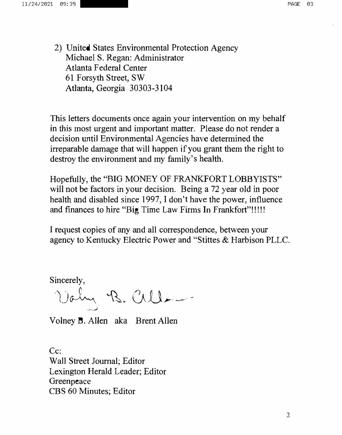2) United States Environmental Protection Agency Michael S. Regan: Administrator Atlanta Federal Center 61 Forsyth Street, SW Atlanta, Georgia 30303-3104

This letters documents once again your intervention on my behalf in this most urgent and important matter. Please do not render a decision until Environmental Agencies have determined the irreparable damage that will happen if you grant them the right to destroy the environment and my family's health.

Hopefully, the "BIG MONEY OF FRANKFORT LOBBYISTS" will not be factors in your decision. Being a 72 year old in poor health and disabled since 1997, I don't have the power, influence and finances to hire "Big Time Law Firms In Frankfort"!!!!!

I request copies of any and all correspondence, between your agency to Kentucky Electric Power and "Stittes & Harbison PLLC.

Sincerely,

Valm B. Cille-*·-·-,)* 

Volney B. Allen aka Brent Allen

Cc: Wall Street Journal; Editor Lexington Herald Leader; Editor Greenpeace CBS 60 Minutes; Editor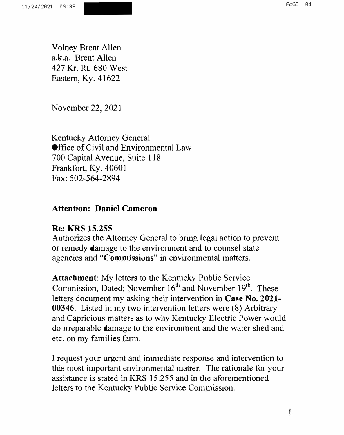Volney Brent Allen a.k.a. Brent Allen 427 Kr. Rt. 680 West Eastern, Ky. 41622

November 22, 2021

Kentucky Attorney General **Office of Civil and Environmental Law** 700 Capital Avenue, Suite 118 Frankfort, Ky. 40601 Fax: 502-564-2894

## **Attention: Daniel Cameron**

## **Re: KRS 15.255**

Authorizes the Attorney General to bring legal action to prevent or remedy damage to the environment and to counsel state agencies and **"Commissions"** in environmental matters.

**Attachment:** My letters to the Kentucky Public Service Commission, Dated; November 16<sup>th</sup> and November 19<sup>th</sup>. These letters document my asking their intervention in **Case No. 2021- 00346.** Listed in my two intervention letters were (8) Arbitrary and Capricious matters as to why Kentucky Electric Power would do irreparable damage to the environment and the water shed and etc. on my families farm.

I request your urgent and immediate response and intervention to this most important environmental matter. The rationale for your assistance is stated in KRS 15.255 and in the aforementioned letters to the Kentucky Public Service Commission.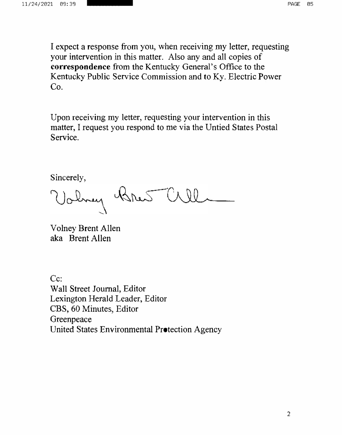I expect a response from you, when receiving my letter, requesting your intervention in this matter. Also any and all copies of **correspondence** from the Kentucky General's Office to the Kentucky Public Service Commission and to Ky. Electric Power Co.

Upon receiving my letter, requesting your intervention in this matter, I request you respond to me via the Untied States Postal Service.

Sincerely,

Valmy Bres Cill

Volney Brent Allen aka Brent Allen

Cc: Wall Street Journal, Editor Lexington Herald Leader, Editor CBS, 60 Minutes, Editor Greenpeace United States Environmental Protection Agency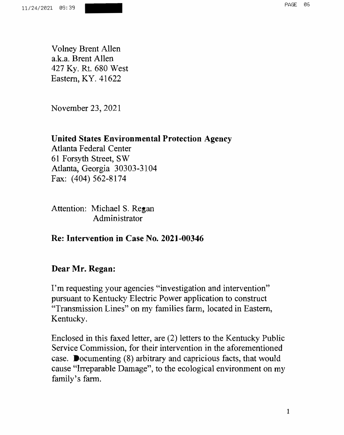Volney Brent Allen a.k.a. Brent Allen 427 Ky. Rt. 680 West Eastern, KY. 41622

November 23, 2021

#### **United States Environmental Protection Agency**

Atlanta Federal Center 61 Forsyth Street, SW Atlanta, Georgia 30303-3104 Fax: (404) 562-8174

Attention: Michael S. Regan Administrator

**Re: Intervention in Case No. 2021-00346** 

## **Dear Mr. Regan:**

I'm requesting your agencies ''investigation and intervention" pursuant to Kentucky Electric Power application to construct "Transmission Lines" on my families farm, located in Eastern, Kentucky.

Enclosed in this faxed letter, are (2) letters to the Kentucky Public Service Commission, for their intervention in the aforementioned case. Documenting (8) arbitrary and capricious facts, that would cause "Irreparable Damage", to the ecological environment on my family's farm.